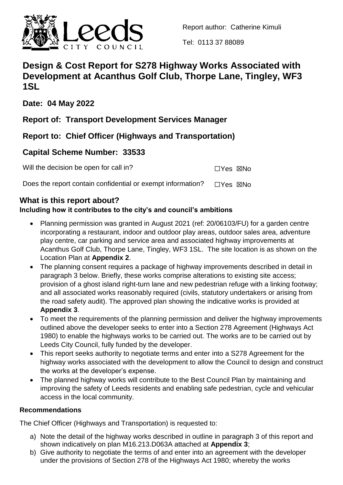

Tel: 0113 37 88089

# **Design & Cost Report for S278 Highway Works Associated with Development at Acanthus Golf Club, Thorpe Lane, Tingley, WF3 1SL**

**Date: 04 May 2022**

**Report of: Transport Development Services Manager**

**Report to: Chief Officer (Highways and Transportation)** 

## **Capital Scheme Number: 33533**

Will the decision be open for call in? ☐Yes ☒No

Does the report contain confidential or exempt information?  $\Box$ Yes  $\boxtimes$ No

## **What is this report about? Including how it contributes to the city's and council's ambitions**

- Planning permission was granted in August 2021 (ref: 20/06103/FU) for a garden centre incorporating a restaurant, indoor and outdoor play areas, outdoor sales area, adventure play centre, car parking and service area and associated highway improvements at Acanthus Golf Club, Thorpe Lane, Tingley, WF3 1SL. The site location is as shown on the Location Plan at **Appendix 2**.
- The planning consent requires a package of highway improvements described in detail in paragraph 3 below. Briefly, these works comprise alterations to existing site access; provision of a ghost island right-turn lane and new pedestrian refuge with a linking footway; and all associated works reasonably required (civils, statutory undertakers or arising from the road safety audit). The approved plan showing the indicative works is provided at **Appendix 3**.
- To meet the requirements of the planning permission and deliver the highway improvements outlined above the developer seeks to enter into a Section 278 Agreement (Highways Act 1980) to enable the highways works to be carried out. The works are to be carried out by Leeds City Council, fully funded by the developer.
- This report seeks authority to negotiate terms and enter into a S278 Agreement for the highway works associated with the development to allow the Council to design and construct the works at the developer's expense.
- The planned highway works will contribute to the Best Council Plan by maintaining and improving the safety of Leeds residents and enabling safe pedestrian, cycle and vehicular access in the local community.

## **Recommendations**

The Chief Officer (Highways and Transportation) is requested to:

- a) Note the detail of the highway works described in outline in paragraph 3 of this report and shown indicatively on plan M16.213.D063A attached at **Appendix 3**;
- b) Give authority to negotiate the terms of and enter into an agreement with the developer under the provisions of Section 278 of the Highways Act 1980; whereby the works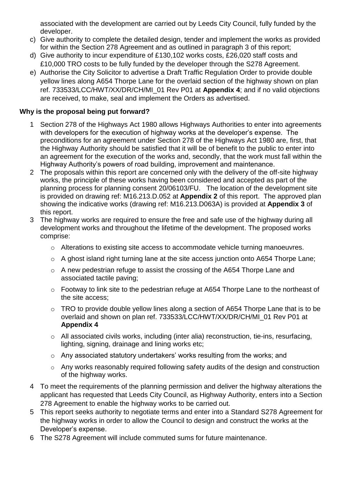associated with the development are carried out by Leeds City Council, fully funded by the developer.

- c) Give authority to complete the detailed design, tender and implement the works as provided for within the Section 278 Agreement and as outlined in paragraph 3 of this report;
- d) Give authority to incur expenditure of £130,102 works costs, £26,020 staff costs and £10,000 TRO costs to be fully funded by the developer through the S278 Agreement.
- e) Authorise the City Solicitor to advertise a Draft Traffic Regulation Order to provide double yellow lines along A654 Thorpe Lane for the overlaid section of the highway shown on plan ref. 733533/LCC/HWT/XX/DR/CH/MI\_01 Rev P01 at **Appendix 4**; and if no valid objections are received, to make, seal and implement the Orders as advertised.

### **Why is the proposal being put forward?**

- 1 Section 278 of the Highways Act 1980 allows Highways Authorities to enter into agreements with developers for the execution of highway works at the developer's expense. The preconditions for an agreement under Section 278 of the Highways Act 1980 are, first, that the Highway Authority should be satisfied that it will be of benefit to the public to enter into an agreement for the execution of the works and, secondly, that the work must fall within the Highway Authority's powers of road building, improvement and maintenance.
- 2 The proposals within this report are concerned only with the delivery of the off-site highway works, the principle of these works having been considered and accepted as part of the planning process for planning consent 20/06103/FU. The location of the development site is provided on drawing ref: M16.213.D.052 at **Appendix 2** of this report. The approved plan showing the indicative works (drawing ref: M16.213.D063A) is provided at **Appendix 3** of this report.
- 3 The highway works are required to ensure the free and safe use of the highway during all development works and throughout the lifetime of the development. The proposed works comprise:
	- $\circ$  Alterations to existing site access to accommodate vehicle turning manoeuvres.
	- o A ghost island right turning lane at the site access junction onto A654 Thorpe Lane;
	- o A new pedestrian refuge to assist the crossing of the A654 Thorpe Lane and associated tactile paving;
	- o Footway to link site to the pedestrian refuge at A654 Thorpe Lane to the northeast of the site access;
	- o TRO to provide double yellow lines along a section of A654 Thorpe Lane that is to be overlaid and shown on plan ref. 733533/LCC/HWT/XX/DR/CH/MI\_01 Rev P01 at **Appendix 4**
	- $\circ$  All associated civils works, including (inter alia) reconstruction, tie-ins, resurfacing, lighting, signing, drainage and lining works etc;
	- o Any associated statutory undertakers' works resulting from the works; and
	- o Any works reasonably required following safety audits of the design and construction of the highway works.
- 4 To meet the requirements of the planning permission and deliver the highway alterations the applicant has requested that Leeds City Council, as Highway Authority, enters into a Section 278 Agreement to enable the highway works to be carried out.
- 5 This report seeks authority to negotiate terms and enter into a Standard S278 Agreement for the highway works in order to allow the Council to design and construct the works at the Developer's expense.
- 6 The S278 Agreement will include commuted sums for future maintenance.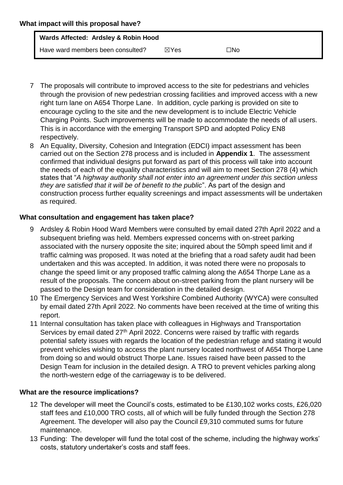| Wards Affected: Ardsley & Robin Hood |                 |     |
|--------------------------------------|-----------------|-----|
| Have ward members been consulted?    | $\boxtimes$ Yes | □No |

- 7 The proposals will contribute to improved access to the site for pedestrians and vehicles through the provision of new pedestrian crossing facilities and improved access with a new right turn lane on A654 Thorpe Lane. In addition, cycle parking is provided on site to encourage cycling to the site and the new development is to include Electric Vehicle Charging Points. Such improvements will be made to accommodate the needs of all users. This is in accordance with the emerging Transport SPD and adopted Policy EN8 respectively.
- 8 An Equality, Diversity, Cohesion and Integration (EDCI) impact assessment has been carried out on the Section 278 process and is included in **Appendix 1**. The assessment confirmed that individual designs put forward as part of this process will take into account the needs of each of the equality characteristics and will aim to meet Section 278 (4) which states that "*A highway authority shall not enter into an agreement under this section unless they are satisfied that it will be of benefit to the public*". As part of the design and construction process further equality screenings and impact assessments will be undertaken as required.

## **What consultation and engagement has taken place?**

- 9 Ardsley & Robin Hood Ward Members were consulted by email dated 27th April 2022 and a subsequent briefing was held. Members expressed concerns with on-street parking associated with the nursery opposite the site; inquired about the 50mph speed limit and if traffic calming was proposed. It was noted at the briefing that a road safety audit had been undertaken and this was accepted. In addition, it was noted there were no proposals to change the speed limit or any proposed traffic calming along the A654 Thorpe Lane as a result of the proposals. The concern about on-street parking from the plant nursery will be passed to the Design team for consideration in the detailed design.
- 10 The Emergency Services and West Yorkshire Combined Authority (WYCA) were consulted by email dated 27th April 2022. No comments have been received at the time of writing this report.
- 11 Internal consultation has taken place with colleagues in Highways and Transportation Services by email dated 27<sup>th</sup> April 2022. Concerns were raised by traffic with regards potential safety issues with regards the location of the pedestrian refuge and stating it would prevent vehicles wishing to access the plant nursery located northwest of A654 Thorpe Lane from doing so and would obstruct Thorpe Lane. Issues raised have been passed to the Design Team for inclusion in the detailed design. A TRO to prevent vehicles parking along the north-western edge of the carriageway is to be delivered.

## **What are the resource implications?**

- 12 The developer will meet the Council's costs, estimated to be £130,102 works costs, £26,020 staff fees and £10,000 TRO costs, all of which will be fully funded through the Section 278 Agreement. The developer will also pay the Council £9,310 commuted sums for future maintenance.
- 13 Funding: The developer will fund the total cost of the scheme, including the highway works' costs, statutory undertaker's costs and staff fees.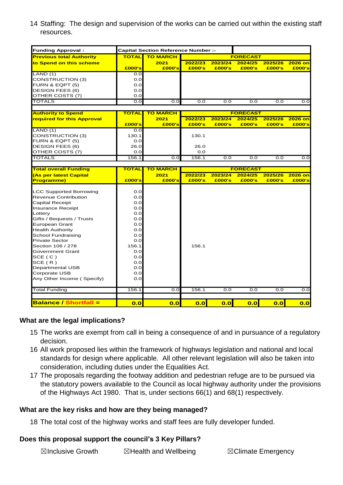14 Staffing: The design and supervision of the works can be carried out within the existing staff resources.

| <b>Funding Approval:</b>        |              | -: Capital Section Reference Number |                   |                   |                   |                   |                   |  |
|---------------------------------|--------------|-------------------------------------|-------------------|-------------------|-------------------|-------------------|-------------------|--|
| <b>Previous total Authority</b> | <b>TOTAL</b> | <b>TO MARCH</b>                     |                   |                   | <b>FORECAST</b>   |                   |                   |  |
| to Spend on this scheme         |              | 2021                                | 2022/23           | 2023/24           | 2024/25           | 2025/26           | 2026 on           |  |
|                                 | £000's       | £000's                              | £000's            | £000's            | £000's            | £000's            | £000's            |  |
| LAND(1)                         | 0.0          |                                     |                   |                   |                   |                   |                   |  |
| CONSTRUCTION (3)                | 0.0          |                                     |                   |                   |                   |                   |                   |  |
| FURN & EQPT (5)                 | 0.0          |                                     |                   |                   |                   |                   |                   |  |
| DESIGN FEES (6)                 | 0.0          |                                     |                   |                   |                   |                   |                   |  |
| OTHER COSTS (7)                 | 0.0          |                                     |                   |                   |                   |                   |                   |  |
| TOTALS                          | 0.0          | $\overline{0.0}$                    | 0.0               | 0.0               | 0.0               | 0.0               | 0.0               |  |
|                                 |              |                                     |                   |                   |                   |                   |                   |  |
| <b>Authority to Spend</b>       | <b>TOTAL</b> | <b>TO MARCH</b>                     |                   |                   | <b>FORECAST</b>   |                   |                   |  |
| required for this Approval      | £000's       | 2021<br>£000's                      | 2022/23<br>£000's | 2023/24<br>£000's | 2024/25<br>£000's | 2025/26<br>£000's | 2026 on<br>£000's |  |
| LAND(1)                         | 0.0          |                                     |                   |                   |                   |                   |                   |  |
| CONSTRUCTION (3)                | 130.1        |                                     | 130.1             |                   |                   |                   |                   |  |
| FURN & EQPT (5)                 | 0.0          |                                     |                   |                   |                   |                   |                   |  |
| <b>DESIGN FEES (6)</b>          | 26.0         |                                     | 26.0              |                   |                   |                   |                   |  |
| OTHER COSTS (7)                 | 0.0          |                                     | 0.0               |                   |                   |                   |                   |  |
| <b>TOTALS</b>                   | 156.1        | 0.0                                 | 156.1             | 0.0               | 0.0               | 0.0               | 0.0               |  |
|                                 |              |                                     |                   |                   |                   |                   |                   |  |
| <b>Total overall Funding</b>    | <b>TOTAL</b> | <b>TO MARCH</b>                     |                   |                   | <b>FORECAST</b>   |                   |                   |  |
| (As per latest Capital          |              | 2021                                | 2022/23           | 2023/24           | 2024/25           | 2025/26           | 2026 on           |  |
| <b>Programme)</b>               | £000's       | £000's                              | £000's            | £000's            | £000's            | £000's            | £000's            |  |
|                                 |              |                                     |                   |                   |                   |                   |                   |  |
| <b>LCC Supported Borrowing</b>  | 0.0          |                                     |                   |                   |                   |                   |                   |  |
| Revenue Contribution            | 0.0          |                                     |                   |                   |                   |                   |                   |  |
| Capital Receipt                 | 0.0          |                                     |                   |                   |                   |                   |                   |  |
| <b>Insurance Receipt</b>        | 0.0          |                                     |                   |                   |                   |                   |                   |  |
| Lottery                         | 0.0          |                                     |                   |                   |                   |                   |                   |  |
| Gifts / Bequests / Trusts       | 0.0          |                                     |                   |                   |                   |                   |                   |  |
| European Grant                  | 0.0          |                                     |                   |                   |                   |                   |                   |  |
| <b>Health Authority</b>         | 0.0          |                                     |                   |                   |                   |                   |                   |  |
| School Fundraising              | 0.0          |                                     |                   |                   |                   |                   |                   |  |
| <b>Private Sector</b>           | 0.0          |                                     |                   |                   |                   |                   |                   |  |
| Section 106 / 278               | 156.1        |                                     | 156.1             |                   |                   |                   |                   |  |
| Government Grant                | 0.0          |                                     |                   |                   |                   |                   |                   |  |
| SCE ( C )                       | 0.0          |                                     |                   |                   |                   |                   |                   |  |
| SCE (R)                         | 0.0          |                                     |                   |                   |                   |                   |                   |  |
| Departmental USB                | 0.0          |                                     |                   |                   |                   |                   |                   |  |
| Corporate USB                   | 0.0          |                                     |                   |                   |                   |                   |                   |  |
| Any Other Income (Specify)      | 0.0          |                                     |                   |                   |                   |                   |                   |  |
|                                 |              |                                     |                   |                   |                   |                   |                   |  |
| <b>Total Funding</b>            | 156.1        | 0.0                                 | 156.1             | 0.0               | 0.0               | 0.0               | 0.0               |  |
| <b>Balance / Shortfall =</b>    | 0.0          | 0.0                                 | 0.0               | 0.0               | 0.0               | 0.0               | 0.0               |  |
|                                 |              |                                     |                   |                   |                   |                   |                   |  |

#### **What are the legal implications?**

- 15 The works are exempt from call in being a consequence of and in pursuance of a regulatory decision.
- 16 All work proposed lies within the framework of highways legislation and national and local standards for design where applicable. All other relevant legislation will also be taken into consideration, including duties under the Equalities Act.
- 17 The proposals regarding the footway addition and pedestrian refuge are to be pursued via the statutory powers available to the Council as local highway authority under the provisions of the Highways Act 1980. That is, under sections 66(1) and 68(1) respectively.

#### **What are the key risks and how are they being managed?**

18 The total cost of the highway works and staff fees are fully developer funded.

#### **Does this proposal support the council's 3 Key Pillars?**

| $\boxtimes$ Inclusive Growth<br>$\boxtimes$ Health and Wellbeing<br>⊠Climate Emergency |
|----------------------------------------------------------------------------------------|
|----------------------------------------------------------------------------------------|